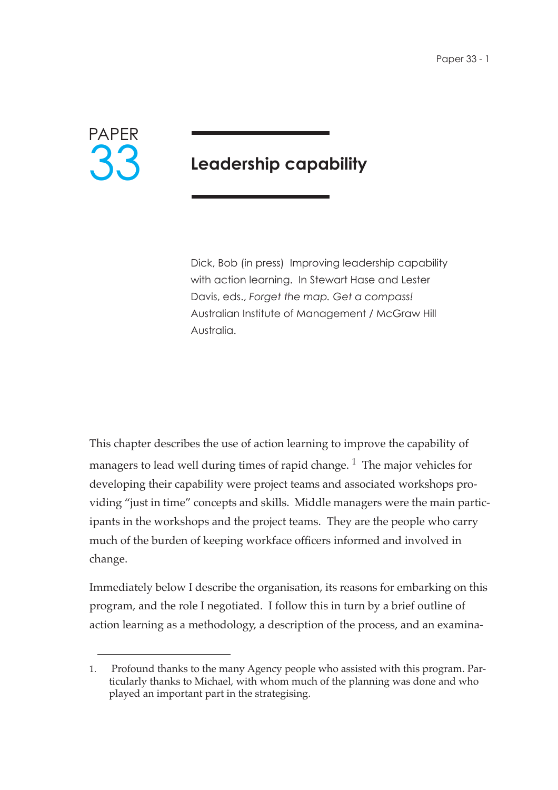

# **Leadership capability**

Dick, Bob (in press) Improving leadership capability with action learning. In Stewart Hase and Lester Davis, eds., *Forget the map. Get a compass!* Australian Institute of Management / McGraw Hill Australia.

This chapter describes the use of action learning to improve the capability of managers to lead well during times of rapid change.<sup>1</sup> The major vehicles for developing their capability were project teams and associated workshops providing "just in time" concepts and skills. Middle managers were the main participants in the workshops and the project teams. They are the people who carry much of the burden of keeping workface officers informed and involved in change.

Immediately below I describe the organisation, its reasons for embarking on this program, and the role I negotiated. I follow this in turn by a brief outline of action learning as a methodology, a description of the process, and an examina-

<sup>1.</sup> Profound thanks to the many Agency people who assisted with this program. Particularly thanks to Michael, with whom much of the planning was done and who played an important part in the strategising.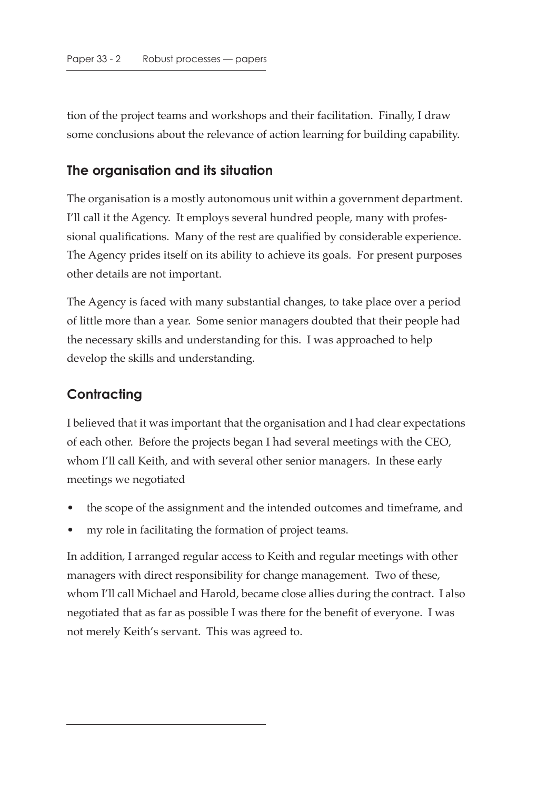tion of the project teams and workshops and their facilitation. Finally, I draw some conclusions about the relevance of action learning for building capability.

#### **The organisation and its situation**

The organisation is a mostly autonomous unit within a government department. I'll call it the Agency. It employs several hundred people, many with professional qualifications. Many of the rest are qualified by considerable experience. The Agency prides itself on its ability to achieve its goals. For present purposes other details are not important.

The Agency is faced with many substantial changes, to take place over a period of little more than a year. Some senior managers doubted that their people had the necessary skills and understanding for this. I was approached to help develop the skills and understanding.

# **Contracting**

I believed that it was important that the organisation and I had clear expectations of each other. Before the projects began I had several meetings with the CEO, whom I'll call Keith, and with several other senior managers. In these early meetings we negotiated

- the scope of the assignment and the intended outcomes and timeframe, and
- my role in facilitating the formation of project teams.

In addition, I arranged regular access to Keith and regular meetings with other managers with direct responsibility for change management. Two of these, whom I'll call Michael and Harold, became close allies during the contract. I also negotiated that as far as possible I was there for the benefit of everyone. I was not merely Keith's servant. This was agreed to.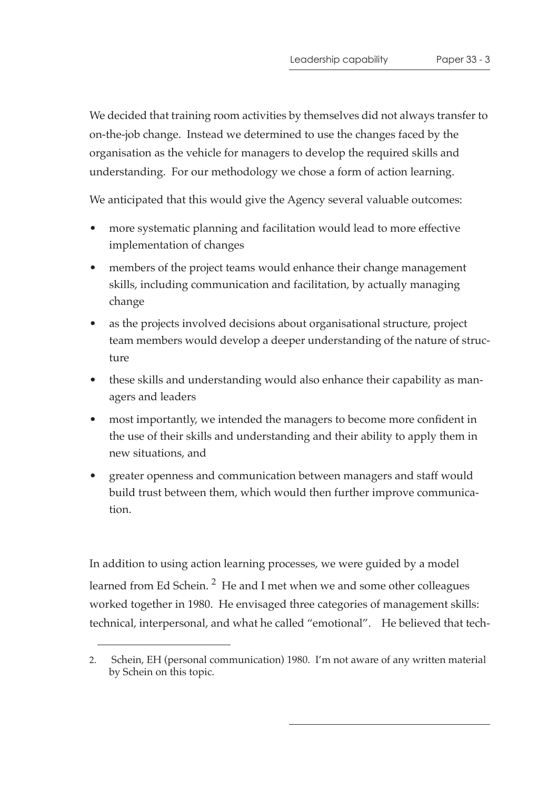We decided that training room activities by themselves did not always transfer to on-the-job change. Instead we determined to use the changes faced by the organisation as the vehicle for managers to develop the required skills and understanding. For our methodology we chose a form of action learning.

We anticipated that this would give the Agency several valuable outcomes:

- more systematic planning and facilitation would lead to more effective implementation of changes
- members of the project teams would enhance their change management skills, including communication and facilitation, by actually managing change
- as the projects involved decisions about organisational structure, project team members would develop a deeper understanding of the nature of structure
- these skills and understanding would also enhance their capability as managers and leaders
- most importantly, we intended the managers to become more confident in the use of their skills and understanding and their ability to apply them in new situations, and
- greater openness and communication between managers and staff would build trust between them, which would then further improve communication.

In addition to using action learning processes, we were guided by a model learned from Ed Schein.  $2$  He and I met when we and some other colleagues worked together in 1980. He envisaged three categories of management skills: technical, interpersonal, and what he called "emotional". He believed that tech-

<sup>2.</sup> Schein, EH (personal communication) 1980. I'm not aware of any written material by Schein on this topic.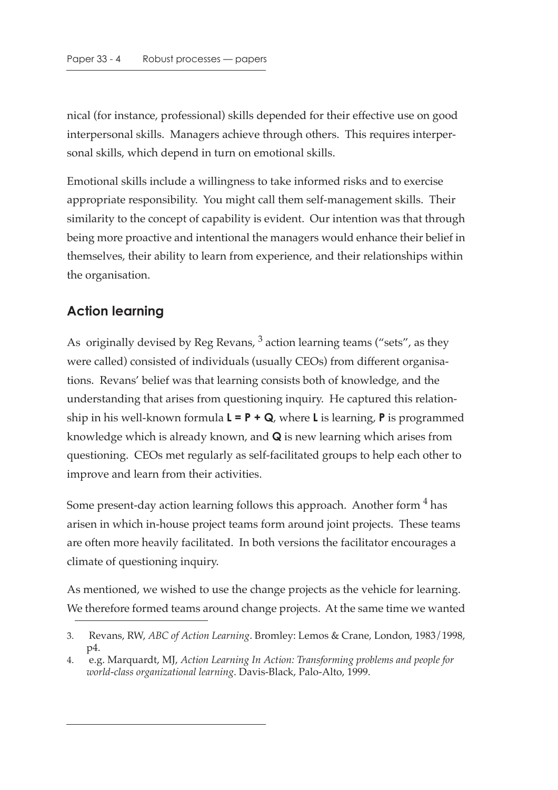nical (for instance, professional) skills depended for their effective use on good interpersonal skills. Managers achieve through others. This requires interpersonal skills, which depend in turn on emotional skills.

Emotional skills include a willingness to take informed risks and to exercise appropriate responsibility. You might call them self-management skills. Their similarity to the concept of capability is evident. Our intention was that through being more proactive and intentional the managers would enhance their belief in themselves, their ability to learn from experience, and their relationships within the organisation.

## **Action learning**

As originally devised by Reg Revans,  $3$  action learning teams ("sets", as they were called) consisted of individuals (usually CEOs) from different organisations. Revans' belief was that learning consists both of knowledge, and the understanding that arises from questioning inquiry. He captured this relationship in his well-known formula **L = P + Q**, where **L** is learning, **P** is programmed knowledge which is already known, and **Q** is new learning which arises from questioning. CEOs met regularly as self-facilitated groups to help each other to improve and learn from their activities.

Some present-day action learning follows this approach. Another form  $4$  has arisen in which in-house project teams form around joint projects. These teams are often more heavily facilitated. In both versions the facilitator encourages a climate of questioning inquiry.

As mentioned, we wished to use the change projects as the vehicle for learning. We therefore formed teams around change projects. At the same time we wanted

<sup>3.</sup> Revans, RW, *ABC of Action Learning*. Bromley: Lemos & Crane, London, 1983/1998, p4.

<sup>4.</sup> e.g. Marquardt, MJ, *Action Learning In Action: Transforming problems and people for world-class organizational learning*. Davis-Black, Palo-Alto, 1999.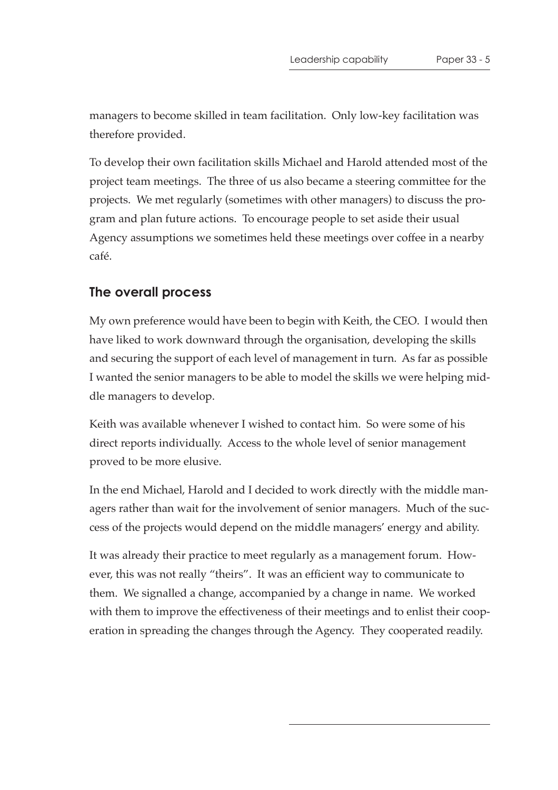managers to become skilled in team facilitation. Only low-key facilitation was therefore provided.

To develop their own facilitation skills Michael and Harold attended most of the project team meetings. The three of us also became a steering committee for the projects. We met regularly (sometimes with other managers) to discuss the program and plan future actions. To encourage people to set aside their usual Agency assumptions we sometimes held these meetings over coffee in a nearby café.

#### **The overall process**

My own preference would have been to begin with Keith, the CEO. I would then have liked to work downward through the organisation, developing the skills and securing the support of each level of management in turn. As far as possible I wanted the senior managers to be able to model the skills we were helping middle managers to develop.

Keith was available whenever I wished to contact him. So were some of his direct reports individually. Access to the whole level of senior management proved to be more elusive.

In the end Michael, Harold and I decided to work directly with the middle managers rather than wait for the involvement of senior managers. Much of the success of the projects would depend on the middle managers' energy and ability.

It was already their practice to meet regularly as a management forum. However, this was not really "theirs". It was an efficient way to communicate to them. We signalled a change, accompanied by a change in name. We worked with them to improve the effectiveness of their meetings and to enlist their cooperation in spreading the changes through the Agency. They cooperated readily.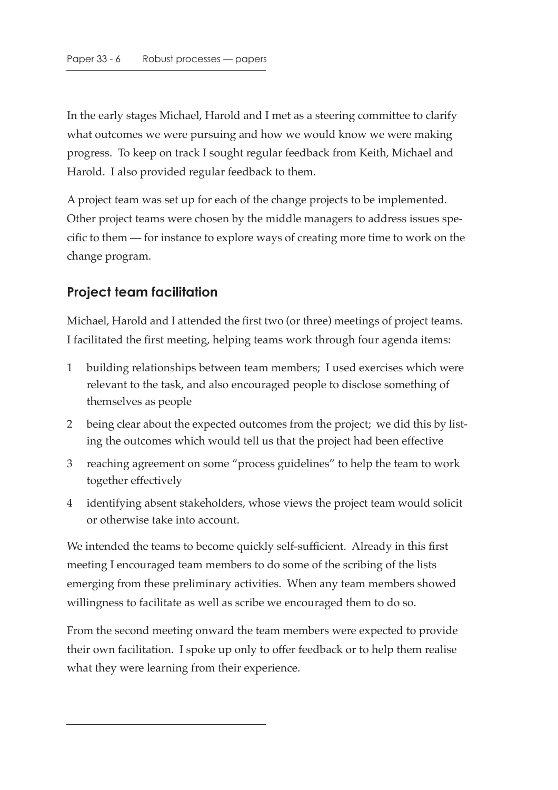In the early stages Michael, Harold and I met as a steering committee to clarify what outcomes we were pursuing and how we would know we were making progress. To keep on track I sought regular feedback from Keith, Michael and Harold. I also provided regular feedback to them.

A project team was set up for each of the change projects to be implemented. Other project teams were chosen by the middle managers to address issues specific to them — for instance to explore ways of creating more time to work on the change program.

# **Project team facilitation**

Michael, Harold and I attended the first two (or three) meetings of project teams. I facilitated the first meeting, helping teams work through four agenda items:

- 1 building relationships between team members; I used exercises which were relevant to the task, and also encouraged people to disclose something of themselves as people
- 2 being clear about the expected outcomes from the project; we did this by listing the outcomes which would tell us that the project had been effective
- 3 reaching agreement on some "process guidelines" to help the team to work together effectively
- 4 identifying absent stakeholders, whose views the project team would solicit or otherwise take into account.

We intended the teams to become quickly self-sufficient. Already in this first meeting I encouraged team members to do some of the scribing of the lists emerging from these preliminary activities. When any team members showed willingness to facilitate as well as scribe we encouraged them to do so.

From the second meeting onward the team members were expected to provide their own facilitation. I spoke up only to offer feedback or to help them realise what they were learning from their experience.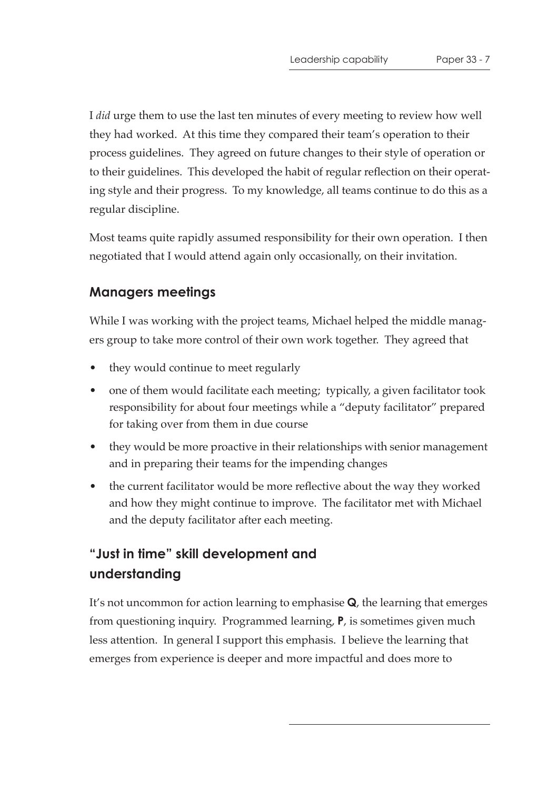I *did* urge them to use the last ten minutes of every meeting to review how well they had worked. At this time they compared their team's operation to their process guidelines. They agreed on future changes to their style of operation or to their guidelines. This developed the habit of regular reflection on their operating style and their progress. To my knowledge, all teams continue to do this as a regular discipline.

Most teams quite rapidly assumed responsibility for their own operation. I then negotiated that I would attend again only occasionally, on their invitation.

## **Managers meetings**

While I was working with the project teams, Michael helped the middle managers group to take more control of their own work together. They agreed that

- they would continue to meet regularly
- one of them would facilitate each meeting; typically, a given facilitator took responsibility for about four meetings while a "deputy facilitator" prepared for taking over from them in due course
- they would be more proactive in their relationships with senior management and in preparing their teams for the impending changes
- the current facilitator would be more reflective about the way they worked and how they might continue to improve. The facilitator met with Michael and the deputy facilitator after each meeting.

# **"Just in time" skill development and understanding**

It's not uncommon for action learning to emphasise **Q**, the learning that emerges from questioning inquiry. Programmed learning, **P**, is sometimes given much less attention. In general I support this emphasis. I believe the learning that emerges from experience is deeper and more impactful and does more to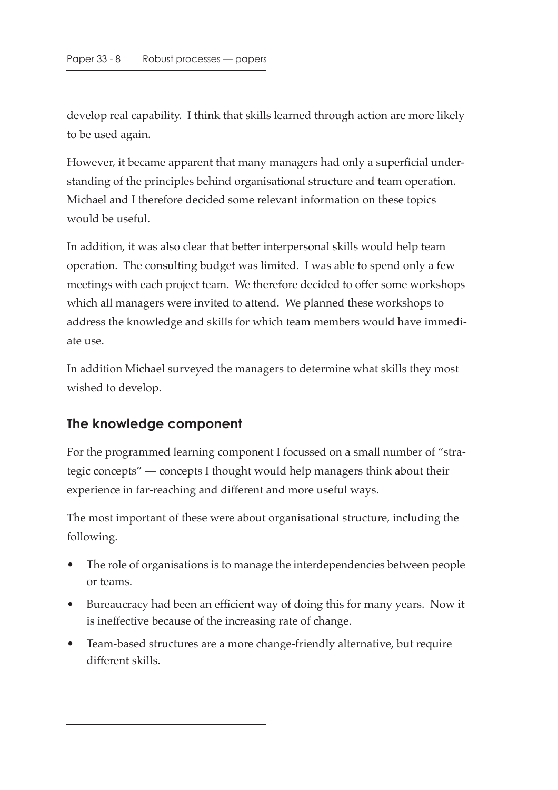develop real capability. I think that skills learned through action are more likely to be used again.

However, it became apparent that many managers had only a superficial understanding of the principles behind organisational structure and team operation. Michael and I therefore decided some relevant information on these topics would be useful.

In addition, it was also clear that better interpersonal skills would help team operation. The consulting budget was limited. I was able to spend only a few meetings with each project team. We therefore decided to offer some workshops which all managers were invited to attend. We planned these workshops to address the knowledge and skills for which team members would have immediate use.

In addition Michael surveyed the managers to determine what skills they most wished to develop.

### **The knowledge component**

For the programmed learning component I focussed on a small number of "strategic concepts" — concepts I thought would help managers think about their experience in far-reaching and different and more useful ways.

The most important of these were about organisational structure, including the following.

- The role of organisations is to manage the interdependencies between people or teams.
- Bureaucracy had been an efficient way of doing this for many years. Now it is ineffective because of the increasing rate of change.
- Team-based structures are a more change-friendly alternative, but require different skills.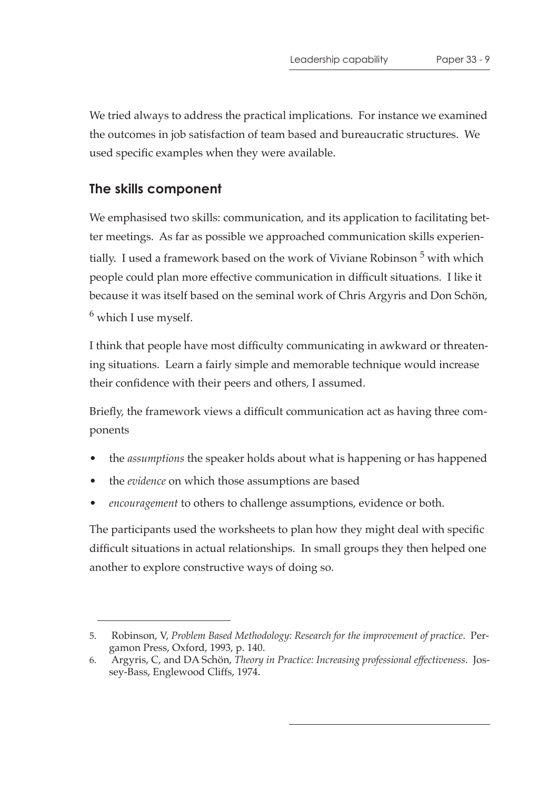We tried always to address the practical implications. For instance we examined the outcomes in job satisfaction of team based and bureaucratic structures. We used specific examples when they were available.

#### **The skills component**

We emphasised two skills: communication, and its application to facilitating better meetings. As far as possible we approached communication skills experientially. I used a framework based on the work of Viviane Robinson<sup>5</sup> with which people could plan more effective communication in difficult situations. I like it because it was itself based on the seminal work of Chris Argyris and Don Schön,  $<sup>6</sup>$  which I use myself.</sup>

I think that people have most difficulty communicating in awkward or threatening situations. Learn a fairly simple and memorable technique would increase their confidence with their peers and others, I assumed.

Briefly, the framework views a difficult communication act as having three components

- the *assumptions* the speaker holds about what is happening or has happened
- the *evidence* on which those assumptions are based
- *encouragement* to others to challenge assumptions, evidence or both.

The participants used the worksheets to plan how they might deal with specific difficult situations in actual relationships. In small groups they then helped one another to explore constructive ways of doing so.

<sup>5.</sup> Robinson, V, *Problem Based Methodology: Research for the improvement of practice*. Pergamon Press, Oxford, 1993, p. 140.

<sup>6.</sup> Argyris, C, and DA Schön, *Theory in Practice: Increasing professional effectiveness*. Jossey-Bass, Englewood Cliffs, 1974.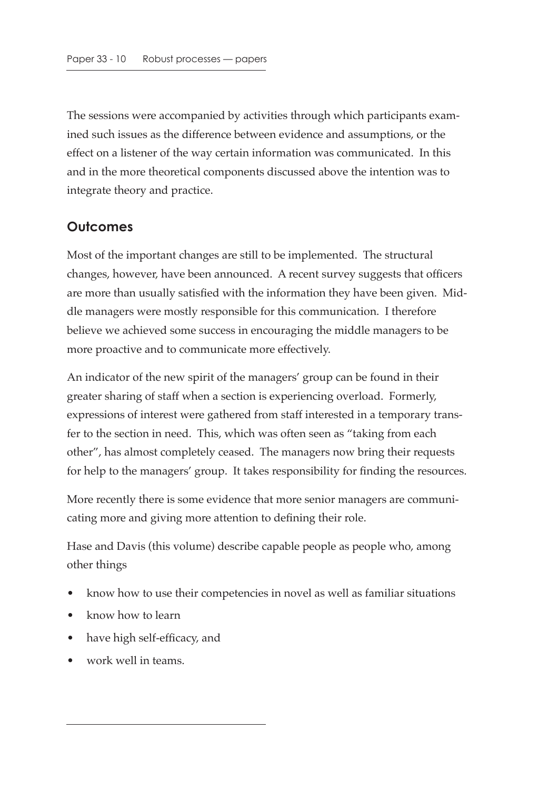The sessions were accompanied by activities through which participants examined such issues as the difference between evidence and assumptions, or the effect on a listener of the way certain information was communicated. In this and in the more theoretical components discussed above the intention was to integrate theory and practice.

## **Outcomes**

Most of the important changes are still to be implemented. The structural changes, however, have been announced. A recent survey suggests that officers are more than usually satisfied with the information they have been given. Middle managers were mostly responsible for this communication. I therefore believe we achieved some success in encouraging the middle managers to be more proactive and to communicate more effectively.

An indicator of the new spirit of the managers' group can be found in their greater sharing of staff when a section is experiencing overload. Formerly, expressions of interest were gathered from staff interested in a temporary transfer to the section in need. This, which was often seen as "taking from each other", has almost completely ceased. The managers now bring their requests for help to the managers' group. It takes responsibility for finding the resources.

More recently there is some evidence that more senior managers are communicating more and giving more attention to defining their role.

Hase and Davis (this volume) describe capable people as people who, among other things

- know how to use their competencies in novel as well as familiar situations
- know how to learn
- have high self-efficacy, and
- work well in teams.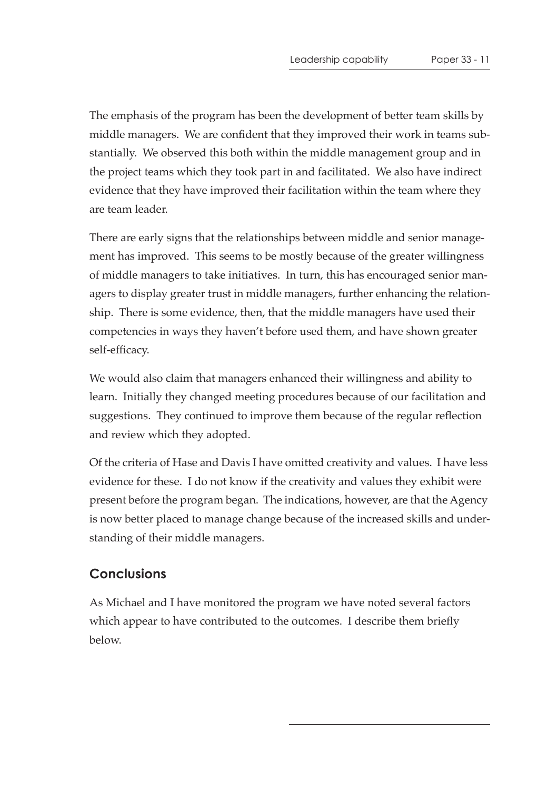The emphasis of the program has been the development of better team skills by middle managers. We are confident that they improved their work in teams substantially. We observed this both within the middle management group and in the project teams which they took part in and facilitated. We also have indirect evidence that they have improved their facilitation within the team where they are team leader.

There are early signs that the relationships between middle and senior management has improved. This seems to be mostly because of the greater willingness of middle managers to take initiatives. In turn, this has encouraged senior managers to display greater trust in middle managers, further enhancing the relationship. There is some evidence, then, that the middle managers have used their competencies in ways they haven't before used them, and have shown greater self-efficacy.

We would also claim that managers enhanced their willingness and ability to learn. Initially they changed meeting procedures because of our facilitation and suggestions. They continued to improve them because of the regular reflection and review which they adopted.

Of the criteria of Hase and Davis I have omitted creativity and values. I have less evidence for these. I do not know if the creativity and values they exhibit were present before the program began. The indications, however, are that the Agency is now better placed to manage change because of the increased skills and understanding of their middle managers.

#### **Conclusions**

As Michael and I have monitored the program we have noted several factors which appear to have contributed to the outcomes. I describe them briefly below.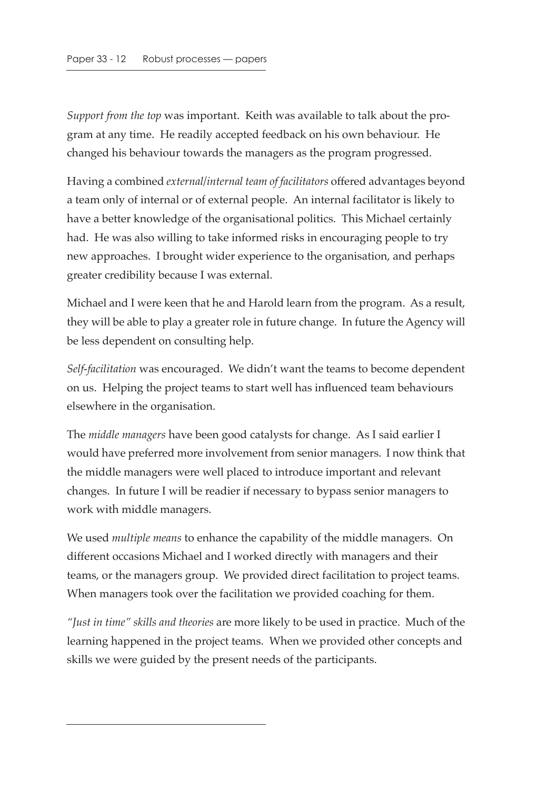*Support from the top* was important. Keith was available to talk about the program at any time. He readily accepted feedback on his own behaviour. He changed his behaviour towards the managers as the program progressed.

Having a combined *external/internal team of facilitators* offered advantages beyond a team only of internal or of external people. An internal facilitator is likely to have a better knowledge of the organisational politics. This Michael certainly had. He was also willing to take informed risks in encouraging people to try new approaches. I brought wider experience to the organisation, and perhaps greater credibility because I was external.

Michael and I were keen that he and Harold learn from the program. As a result, they will be able to play a greater role in future change. In future the Agency will be less dependent on consulting help.

*Self-facilitation* was encouraged. We didn't want the teams to become dependent on us. Helping the project teams to start well has influenced team behaviours elsewhere in the organisation.

The *middle managers* have been good catalysts for change. As I said earlier I would have preferred more involvement from senior managers. I now think that the middle managers were well placed to introduce important and relevant changes. In future I will be readier if necessary to bypass senior managers to work with middle managers.

We used *multiple means* to enhance the capability of the middle managers. On different occasions Michael and I worked directly with managers and their teams, or the managers group. We provided direct facilitation to project teams. When managers took over the facilitation we provided coaching for them.

*"Just in time" skills and theories* are more likely to be used in practice. Much of the learning happened in the project teams. When we provided other concepts and skills we were guided by the present needs of the participants.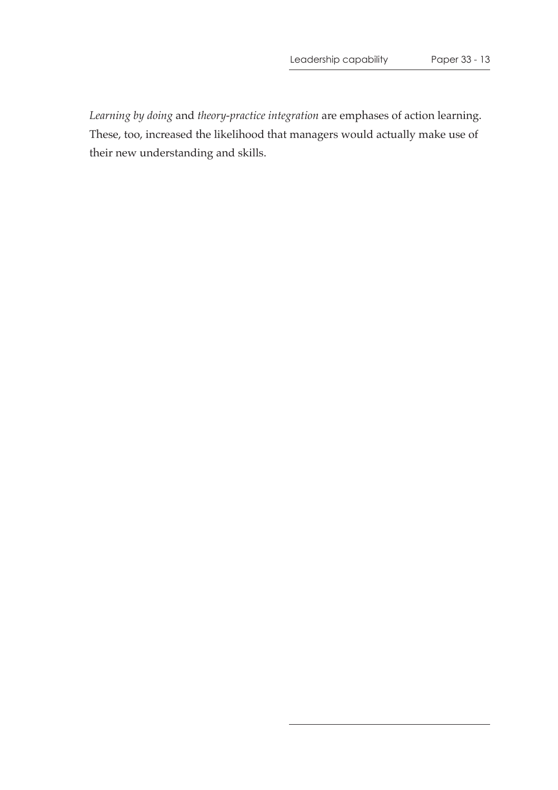*Learning by doing* and *theory-practice integration* are emphases of action learning. These, too, increased the likelihood that managers would actually make use of their new understanding and skills.